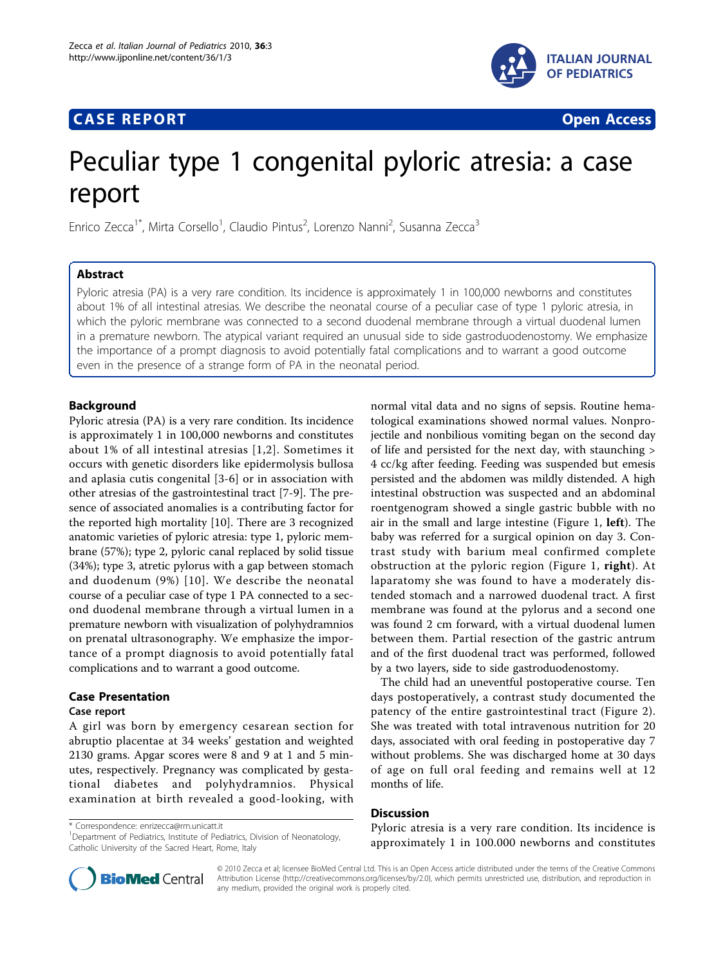## **CASE REPORT CASE REPORT CASE REPORT**



# Peculiar type 1 congenital pyloric atresia: a case report

Enrico Zecca<sup>1\*</sup>, Mirta Corsello<sup>1</sup>, Claudio Pintus<sup>2</sup>, Lorenzo Nanni<sup>2</sup>, Susanna Zecca<sup>3</sup>

## Abstract

Pyloric atresia (PA) is a very rare condition. Its incidence is approximately 1 in 100,000 newborns and constitutes about 1% of all intestinal atresias. We describe the neonatal course of a peculiar case of type 1 pyloric atresia, in which the pyloric membrane was connected to a second duodenal membrane through a virtual duodenal lumen in a premature newborn. The atypical variant required an unusual side to side gastroduodenostomy. We emphasize the importance of a prompt diagnosis to avoid potentially fatal complications and to warrant a good outcome even in the presence of a strange form of PA in the neonatal period.

## Background

Pyloric atresia (PA) is a very rare condition. Its incidence is approximately 1 in 100,000 newborns and constitutes about 1% of all intestinal atresias [[1](#page-3-0),[2\]](#page-3-0). Sometimes it occurs with genetic disorders like epidermolysis bullosa and aplasia cutis congenital [\[3](#page-3-0)-[6](#page-3-0)] or in association with other atresias of the gastrointestinal tract [[7](#page-3-0)-[9](#page-3-0)]. The presence of associated anomalies is a contributing factor for the reported high mortality [\[10](#page-3-0)]. There are 3 recognized anatomic varieties of pyloric atresia: type 1, pyloric membrane (57%); type 2, pyloric canal replaced by solid tissue (34%); type 3, atretic pylorus with a gap between stomach and duodenum (9%) [[10\]](#page-3-0). We describe the neonatal course of a peculiar case of type 1 PA connected to a second duodenal membrane through a virtual lumen in a premature newborn with visualization of polyhydramnios on prenatal ultrasonography. We emphasize the importance of a prompt diagnosis to avoid potentially fatal complications and to warrant a good outcome.

## Case Presentation

#### Case report

A girl was born by emergency cesarean section for abruptio placentae at 34 weeks' gestation and weighted 2130 grams. Apgar scores were 8 and 9 at 1 and 5 minutes, respectively. Pregnancy was complicated by gestational diabetes and polyhydramnios. Physical examination at birth revealed a good-looking, with normal vital data and no signs of sepsis. Routine hematological examinations showed normal values. Nonprojectile and nonbilious vomiting began on the second day of life and persisted for the next day, with staunching > 4 cc/kg after feeding. Feeding was suspended but emesis persisted and the abdomen was mildly distended. A high intestinal obstruction was suspected and an abdominal roentgenogram showed a single gastric bubble with no air in the small and large intestine (Figure [1,](#page-1-0) left). The baby was referred for a surgical opinion on day 3. Contrast study with barium meal confirmed complete obstruction at the pyloric region (Figure [1,](#page-1-0) right). At laparatomy she was found to have a moderately distended stomach and a narrowed duodenal tract. A first membrane was found at the pylorus and a second one was found 2 cm forward, with a virtual duodenal lumen between them. Partial resection of the gastric antrum and of the first duodenal tract was performed, followed by a two layers, side to side gastroduodenostomy.

The child had an uneventful postoperative course. Ten days postoperatively, a contrast study documented the patency of the entire gastrointestinal tract (Figure [2](#page-2-0)). She was treated with total intravenous nutrition for 20 days, associated with oral feeding in postoperative day 7 without problems. She was discharged home at 30 days of age on full oral feeding and remains well at 12 months of life.

## **Discussion**

\* Correspondence: [enrizecca@rm.unicatt.it](mailto:enrizecca@rm.unicatt.it)

<sup>1</sup>Department of Pediatrics, Institute of Pediatrics, Division of Neonatology, Catholic University of the Sacred Heart, Rome, Italy

Pyloric atresia is a very rare condition. Its incidence is approximately 1 in 100.000 newborns and constitutes



© 2010 Zecca et al; licensee BioMed Central Ltd. This is an Open Access article distributed under the terms of the Creative Commons Attribution License [\(http://creativecommons.org/licenses/by/2.0](http://creativecommons.org/licenses/by/2.0)), which permits unrestricted use, distribution, and reproduction in any medium, provided the original work is properly cited.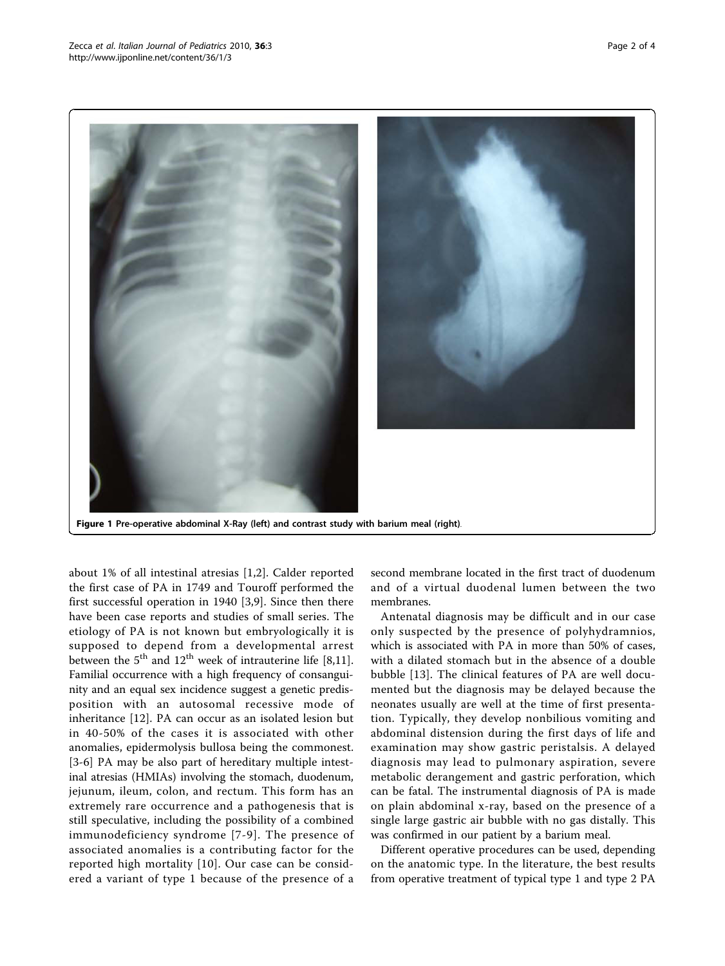<span id="page-1-0"></span>

Figure 1 Pre-operative abdominal X-Ray (left) and contrast study with barium meal (right).

about 1% of all intestinal atresias [[1,2](#page-3-0)]. Calder reported the first case of PA in 1749 and Touroff performed the first successful operation in 1940 [\[3](#page-3-0),[9](#page-3-0)]. Since then there have been case reports and studies of small series. The etiology of PA is not known but embryologically it is supposed to depend from a developmental arrest between the  $5<sup>th</sup>$  and  $12<sup>th</sup>$  week of intrauterine life [\[8,11](#page-3-0)]. Familial occurrence with a high frequency of consanguinity and an equal sex incidence suggest a genetic predisposition with an autosomal recessive mode of inheritance [[12\]](#page-3-0). PA can occur as an isolated lesion but in 40-50% of the cases it is associated with other anomalies, epidermolysis bullosa being the commonest. [[3-6\]](#page-3-0) PA may be also part of hereditary multiple intestinal atresias (HMIAs) involving the stomach, duodenum, jejunum, ileum, colon, and rectum. This form has an extremely rare occurrence and a pathogenesis that is still speculative, including the possibility of a combined immunodeficiency syndrome [[7-9](#page-3-0)]. The presence of associated anomalies is a contributing factor for the reported high mortality [\[10\]](#page-3-0). Our case can be considered a variant of type 1 because of the presence of a

second membrane located in the first tract of duodenum and of a virtual duodenal lumen between the two membranes.

Antenatal diagnosis may be difficult and in our case only suspected by the presence of polyhydramnios, which is associated with PA in more than 50% of cases, with a dilated stomach but in the absence of a double bubble [[13](#page-3-0)]. The clinical features of PA are well documented but the diagnosis may be delayed because the neonates usually are well at the time of first presentation. Typically, they develop nonbilious vomiting and abdominal distension during the first days of life and examination may show gastric peristalsis. A delayed diagnosis may lead to pulmonary aspiration, severe metabolic derangement and gastric perforation, which can be fatal. The instrumental diagnosis of PA is made on plain abdominal x-ray, based on the presence of a single large gastric air bubble with no gas distally. This was confirmed in our patient by a barium meal.

Different operative procedures can be used, depending on the anatomic type. In the literature, the best results from operative treatment of typical type 1 and type 2 PA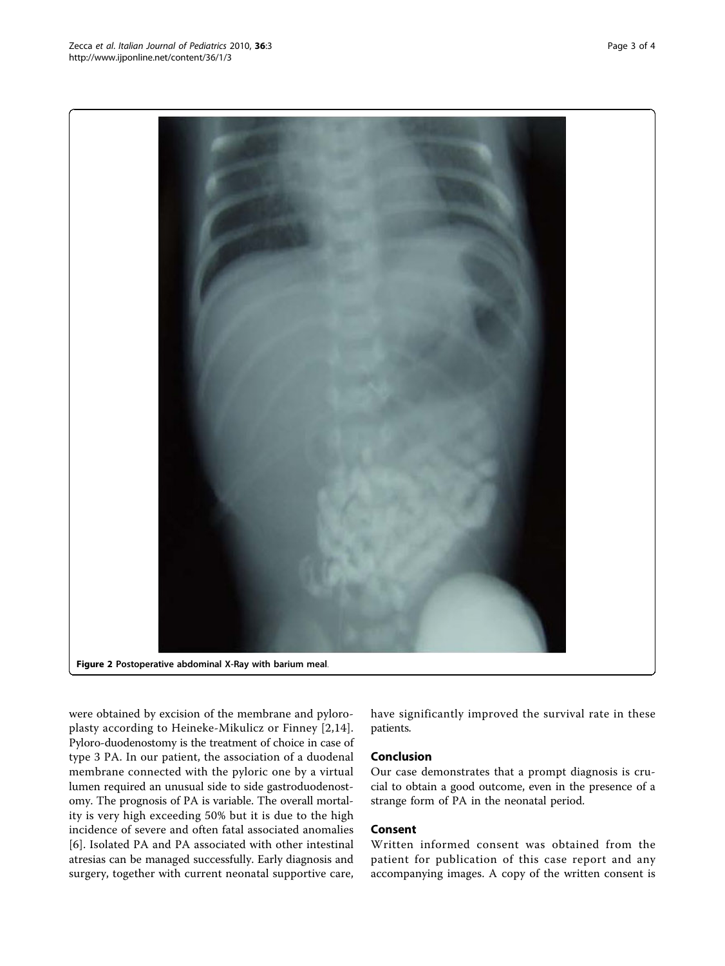were obtained by excision of the membrane and pyloroplasty according to Heineke-Mikulicz or Finney [\[2](#page-3-0),[14\]](#page-3-0). Pyloro-duodenostomy is the treatment of choice in case of type 3 PA. In our patient, the association of a duodenal membrane connected with the pyloric one by a virtual lumen required an unusual side to side gastroduodenostomy. The prognosis of PA is variable. The overall mortality is very high exceeding 50% but it is due to the high incidence of severe and often fatal associated anomalies [[6](#page-3-0)]. Isolated PA and PA associated with other intestinal atresias can be managed successfully. Early diagnosis and surgery, together with current neonatal supportive care,

have significantly improved the survival rate in these patients.

## Conclusion

Our case demonstrates that a prompt diagnosis is crucial to obtain a good outcome, even in the presence of a strange form of PA in the neonatal period.

## Consent

Written informed consent was obtained from the patient for publication of this case report and any accompanying images. A copy of the written consent is

<span id="page-2-0"></span>